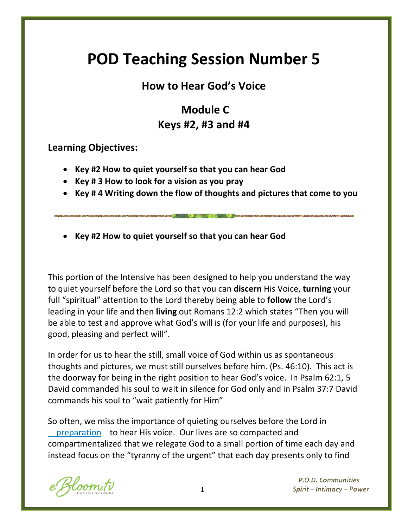# **POD Teaching Session Number 5**

# **How to Hear God's Voice**

# **Module C Keys #2, #3 and #4**

**Learning Objectives:**

- **Key #2 How to quiet yourself so that you can hear God**
- **Key # 3 How to look for a vision as you pray**
- **Key # 4 Writing down the flow of thoughts and pictures that come to you**
- **Key #2 How to quiet yourself so that you can hear God**

This portion of the Intensive has been designed to help you understand the way to quiet yourself before the Lord so that you can **discern** His Voice, **turning** your full "spiritual" attention to the Lord thereby being able to **follow** the Lord's leading in your life and then **living** out Romans 12:2 which states "Then you will be able to test and approve what God's will is (for your life and purposes), his good, pleasing and perfect will".

In order for us to hear the still, small voice of God within us as spontaneous thoughts and pictures, we must still ourselves before him. (Ps. 46:10). This act is the doorway for being in the right position to hear God's voice. In Psalm 62:1, 5 David commanded his soul to wait in silence for God only and in Psalm 37:7 David commands his soul to "wait patiently for Him"

So often, we miss the importance of quieting ourselves before the Lord in preparation to hear His voice. Our lives are so compacted and compartmentalized that we relegate God to a small portion of time each day and instead focus on the "tyranny of the urgent" that each day presents only to find

oom.tv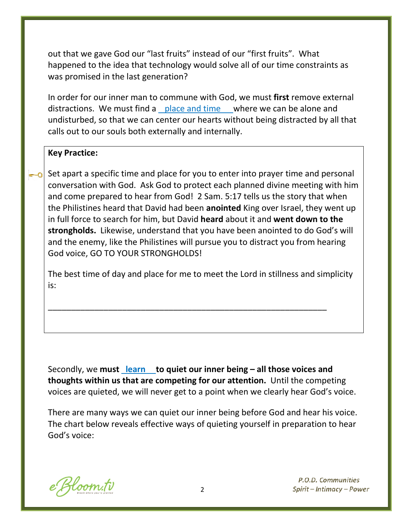out that we gave God our "last fruits" instead of our "first fruits". What happened to the idea that technology would solve all of our time constraints as was promised in the last generation?

In order for our inner man to commune with God, we must **first** remove external distractions. We must find a place and time where we can be alone and undisturbed, so that we can center our hearts without being distracted by all that calls out to our souls both externally and internally.

#### **Key Practice:**

Set apart a specific time and place for you to enter into prayer time and personal conversation with God. Ask God to protect each planned divine meeting with him and come prepared to hear from God! 2 Sam. 5:17 tells us the story that when the Philistines heard that David had been **anointed** King over Israel, they went up in full force to search for him, but David **heard** about it and **went down to the strongholds.** Likewise, understand that you have been anointed to do God's will and the enemy, like the Philistines will pursue you to distract you from hearing God voice, GO TO YOUR STRONGHOLDS!

The best time of day and place for me to meet the Lord in stillness and simplicity is:

\_\_\_\_\_\_\_\_\_\_\_\_\_\_\_\_\_\_\_\_\_\_\_\_\_\_\_\_\_\_\_\_\_\_\_\_\_\_\_\_\_\_\_\_\_\_\_\_\_\_\_\_\_\_\_\_\_\_\_\_

Secondly, we **must learn to quiet our inner being – all those voices and thoughts within us that are competing for our attention.** Until the competing voices are quieted, we will never get to a point when we clearly hear God's voice.

There are many ways we can quiet our inner being before God and hear his voice. The chart below reveals effective ways of quieting yourself in preparation to hear God's voice:

Kloom.tv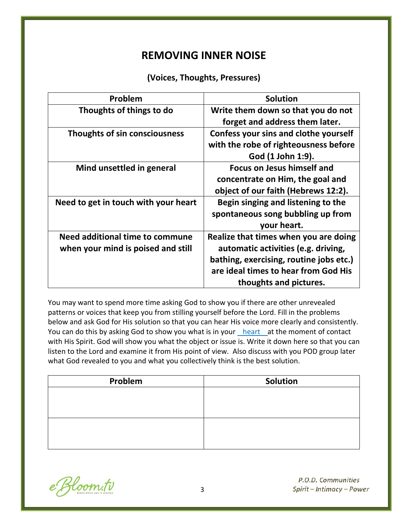# **REMOVING INNER NOISE**

#### **(Voices, Thoughts, Pressures)**

| Problem                              | <b>Solution</b>                         |
|--------------------------------------|-----------------------------------------|
| Thoughts of things to do             | Write them down so that you do not      |
|                                      | forget and address them later.          |
| Thoughts of sin consciousness        | Confess your sins and clothe yourself   |
|                                      | with the robe of righteousness before   |
|                                      | God (1 John 1:9).                       |
| Mind unsettled in general            | <b>Focus on Jesus himself and</b>       |
|                                      | concentrate on Him, the goal and        |
|                                      | object of our faith (Hebrews 12:2).     |
| Need to get in touch with your heart | Begin singing and listening to the      |
|                                      | spontaneous song bubbling up from       |
|                                      | your heart.                             |
| Need additional time to commune      | Realize that times when you are doing   |
| when your mind is poised and still   | automatic activities (e.g. driving,     |
|                                      | bathing, exercising, routine jobs etc.) |
|                                      | are ideal times to hear from God His    |
|                                      | thoughts and pictures.                  |

You may want to spend more time asking God to show you if there are other unrevealed patterns or voices that keep you from stilling yourself before the Lord. Fill in the problems below and ask God for His solution so that you can hear His voice more clearly and consistently. You can do this by asking God to show you what is in your heart at the moment of contact with His Spirit. God will show you what the object or issue is. Write it down here so that you can listen to the Lord and examine it from His point of view. Also discuss with you POD group later what God revealed to you and what you collectively think is the best solution.

| Solution |
|----------|
|          |
|          |
|          |
|          |
|          |
|          |

e Bloom.tv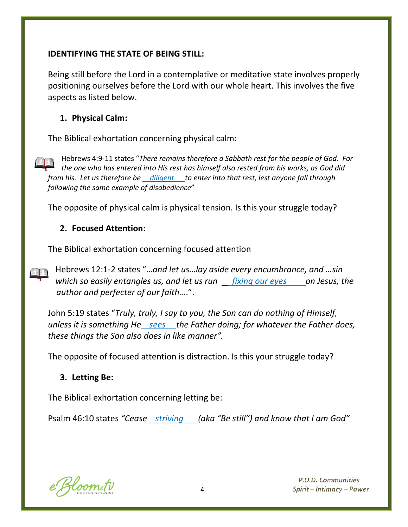#### **IDENTIFYING THE STATE OF BEING STILL:**

Being still before the Lord in a contemplative or meditative state involves properly positioning ourselves before the Lord with our whole heart. This involves the five aspects as listed below.

#### **1. Physical Calm:**

The Biblical exhortation concerning physical calm:

Hebrews 4:9-11 states "*There remains therefore a Sabbath rest for the people of God. For the one who has entered into His rest has himself also rested from his works, as God did from his. Let us therefore be diligent* to enter into that rest, lest anyone fall through *following the same example of disobedience*"

The opposite of physical calm is physical tension. Is this your struggle today?

#### **2. Focused Attention:**

The Biblical exhortation concerning focused attention

Hebrews 12:1-2 states "…*and let us…lay aside every encumbrance, and …sin which so easily entangles us, and let us run fixing our eyes on Jesus, the author and perfecter of our faith…*.".

John 5:19 states "*Truly, truly, I say to you, the Son can do nothing of Himself, unless it is something He sees the Father doing; for whatever the Father does, these things the Son also does in like manner".*

The opposite of focused attention is distraction. Is this your struggle today?

## **3. Letting Be:**

The Biblical exhortation concerning letting be:

Psalm 46:10 states *"Cease striving (aka "Be still") and know that I am God"*

e Bloom.tv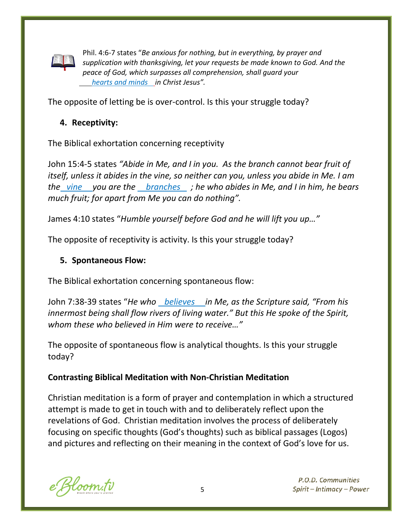

Phil. 4:6-7 states "*Be anxious for nothing, but in everything, by prayer and supplication with thanksgiving, let your requests be made known to God. And the peace of God, which surpasses all comprehension, shall guard your hearts and minds in Christ Jesus".*

The opposite of letting be is over-control. Is this your struggle today?

#### **4. Receptivity:**

The Biblical exhortation concerning receptivity

John 15:4-5 states *"Abide in Me, and I in you. As the branch cannot bear fruit of itself, unless it abides in the vine, so neither can you, unless you abide in Me. I am the vine you are the branches ; he who abides in Me, and I in him, he bears much fruit; for apart from Me you can do nothing".*

James 4:10 states "*Humble yourself before God and he will lift you up…"*

The opposite of receptivity is activity. Is this your struggle today?

#### **5. Spontaneous Flow:**

The Biblical exhortation concerning spontaneous flow:

John 7:38-39 states "*He who believes in Me, as the Scripture said, "From his innermost being shall flow rivers of living water." But this He spoke of the Spirit, whom these who believed in Him were to receive…"*

The opposite of spontaneous flow is analytical thoughts. Is this your struggle today?

#### **Contrasting Biblical Meditation with Non-Christian Meditation**

Christian meditation is a form of prayer and contemplation in which a structured attempt is made to get in touch with and to deliberately reflect upon the revelations of God. Christian meditation involves the process of deliberately focusing on specific thoughts (God's thoughts) such as biblical passages (Logos) and pictures and reflecting on their meaning in the context of God's love for us.

Hoom.tv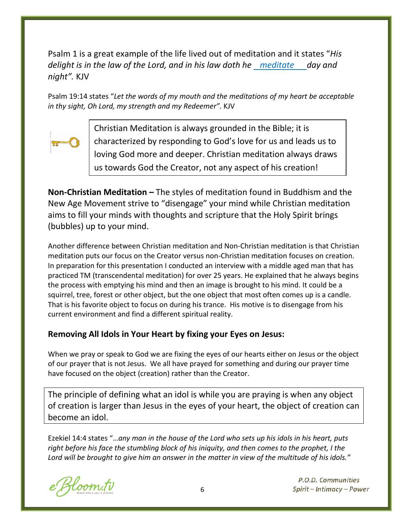Psalm 1 is a great example of the life lived out of meditation and it states "*His delight is in the law of the Lord, and in his law doth he meditate day and night".* KJV

Psalm 19:14 states "*Let the words of my mouth and the meditations of my heart be acceptable in thy sight, Oh Lord, my strength and my Redeemer".* KJV



Christian Meditation is always grounded in the Bible; it is characterized by responding to God's love for us and leads us to loving God more and deeper. Christian meditation always draws us towards God the Creator, not any aspect of his creation!

**Non-Christian Meditation –** The styles of meditation found in Buddhism and the New Age Movement strive to "disengage" your mind while Christian meditation aims to fill your minds with thoughts and scripture that the Holy Spirit brings (bubbles) up to your mind.

Another difference between Christian meditation and Non-Christian meditation is that Christian meditation puts our focus on the Creator versus non-Christian meditation focuses on creation. In preparation for this presentation I conducted an interview with a middle aged man that has practiced TM (transcendental meditation) for over 25 years. He explained that he always begins the process with emptying his mind and then an image is brought to his mind. It could be a squirrel, tree, forest or other object, but the one object that most often comes up is a candle. That is his favorite object to focus on during his trance. His motive is to disengage from his current environment and find a different spiritual reality.

#### **Removing All Idols in Your Heart by fixing your Eyes on Jesus:**

When we pray or speak to God we are fixing the eyes of our hearts either on Jesus or the object of our prayer that is not Jesus. We all have prayed for something and during our prayer time have focused on the object (creation) rather than the Creator.

The principle of defining what an idol is while you are praying is when any object of creation is larger than Jesus in the eyes of your heart, the object of creation can become an idol.

Ezekiel 14:4 states "…*any man in the house of the Lord who sets up his idols in his heart, puts right before his face the stumbling block of his iniquity, and then comes to the prophet, I the Lord will be brought to give him an answer in the matter in view of the multitude of his idols."*

loom.tv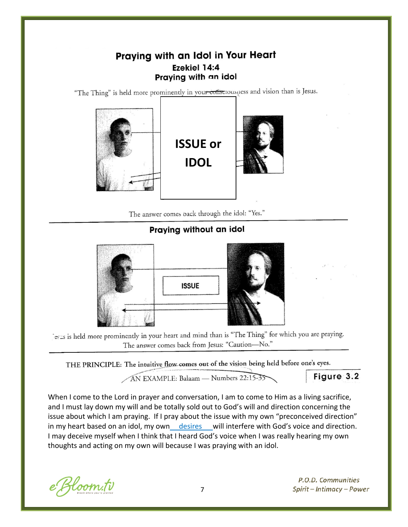## Praying with an Idol in Your Heart Ezekiel 14:4 Praying with an idol

"The Thing" is held more prominently in your consciousness and vision than is Jesus.



The answer comes back through the idol: "Yes."

Praying without an idol



is a similar to the prominently in your heart and mind than is "The Thing" for which you are praying. The answer comes back from Jesus: "Caution-No."

THE PRINCIPLE: The intuitive flow comes out of the vision being held before one's eyes.

AN EXAMPLE: Balaam - Numbers 22:15-35

Figure 3.2

When I come to the Lord in prayer and conversation, I am to come to Him as a living sacrifice, and I must lay down my will and be totally sold out to God's will and direction concerning the issue about which I am praying. If I pray about the issue with my own "preconceived direction" in my heart based on an idol, my own desires will interfere with God's voice and direction. I may deceive myself when I think that I heard God's voice when I was really hearing my own thoughts and acting on my own will because I was praying with an idol.

Bloom.tv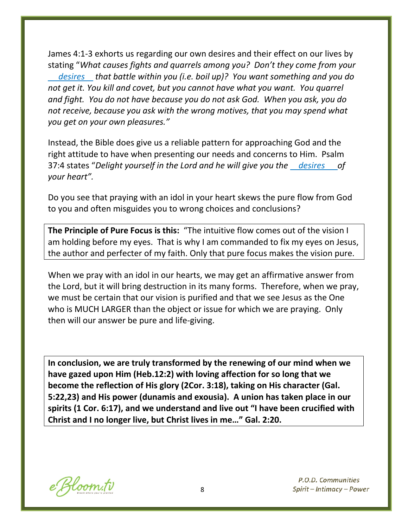James 4:1-3 exhorts us regarding our own desires and their effect on our lives by stating "*What causes fights and quarrels among you? Don't they come from your desires that battle within you (i.e. boil up)? You want something and you do not get it. You kill and covet, but you cannot have what you want. You quarrel and fight. You do not have because you do not ask God. When you ask, you do not receive, because you ask with the wrong motives, that you may spend what you get on your own pleasures."*

Instead, the Bible does give us a reliable pattern for approaching God and the right attitude to have when presenting our needs and concerns to Him. Psalm 37:4 states "*Delight yourself in the Lord and he will give you the desires of your heart".*

Do you see that praying with an idol in your heart skews the pure flow from God to you and often misguides you to wrong choices and conclusions?

**The Principle of Pure Focus is this:** "The intuitive flow comes out of the vision I am holding before my eyes. That is why I am commanded to fix my eyes on Jesus, the author and perfecter of my faith. Only that pure focus makes the vision pure.

When we pray with an idol in our hearts, we may get an affirmative answer from the Lord, but it will bring destruction in its many forms. Therefore, when we pray, we must be certain that our vision is purified and that we see Jesus as the One who is MUCH LARGER than the object or issue for which we are praying. Only then will our answer be pure and life-giving.

**In conclusion, we are truly transformed by the renewing of our mind when we have gazed upon Him (Heb.12:2) with loving affection for so long that we become the reflection of His glory (2Cor. 3:18), taking on His character (Gal. 5:22,23) and His power (dunamis and exousia). A union has taken place in our spirits (1 Cor. 6:17), and we understand and live out "I have been crucified with Christ and I no longer live, but Christ lives in me…" Gal. 2:20.**

e Bloom.tv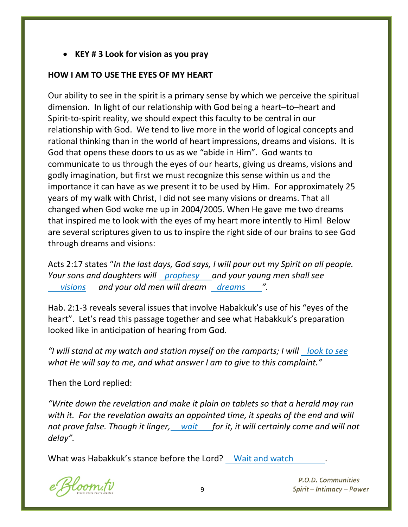• **KEY # 3 Look for vision as you pray**

#### **HOW I AM TO USE THE EYES OF MY HEART**

Our ability to see in the spirit is a primary sense by which we perceive the spiritual dimension. In light of our relationship with God being a heart–to–heart and Spirit-to-spirit reality, we should expect this faculty to be central in our relationship with God. We tend to live more in the world of logical concepts and rational thinking than in the world of heart impressions, dreams and visions. It is God that opens these doors to us as we "abide in Him". God wants to communicate to us through the eyes of our hearts, giving us dreams, visions and godly imagination, but first we must recognize this sense within us and the importance it can have as we present it to be used by Him. For approximately 25 years of my walk with Christ, I did not see many visions or dreams. That all changed when God woke me up in 2004/2005. When He gave me two dreams that inspired me to look with the eyes of my heart more intently to Him! Below are several scriptures given to us to inspire the right side of our brains to see God through dreams and visions:

Acts 2:17 states "*In the last days, God says, I will pour out my Spirit on all people. Your sons and daughters will prophesy and your young men shall see visions and your old men will dream dreams ".*

Hab. 2:1-3 reveals several issues that involve Habakkuk's use of his "eyes of the heart". Let's read this passage together and see what Habakkuk's preparation looked like in anticipation of hearing from God.

*"I will stand at my watch and station myself on the ramparts; I will look to see what He will say to me, and what answer I am to give to this complaint."*

Then the Lord replied:

*"Write down the revelation and make it plain on tablets so that a herald may run*  with it. For the revelation awaits an appointed time, it speaks of the end and will *not prove false. Though it linger, wait for it, it will certainly come and will not delay".*

What was Habakkuk's stance before the Lord? Wait and watch

Hoom.tv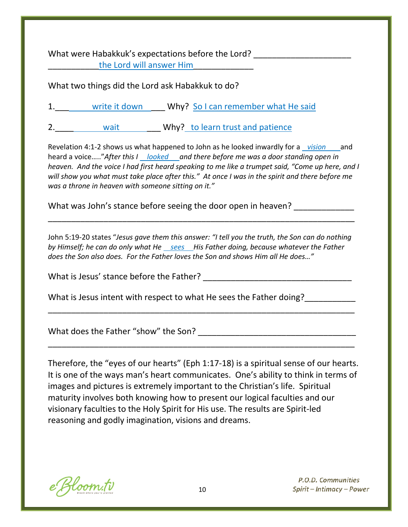What were Habakkuk's expectations before the Lord? the Lord will answer Him

What two things did the Lord ask Habakkuk to do?

| write it down | Why? So I can remember what He said |  |
|---------------|-------------------------------------|--|
| wait          | Why? to learn trust and patience    |  |

Revelation 4:1-2 shows us what happened to John as he looked inwardly for a *vision* and heard a voice….."*After this I looked and there before me was a door standing open in* 

*heaven. And the voice I had first heard speaking to me like a trumpet said, "Come up here, and I will show you what must take place after this." At once I was in the spirit and there before me was a throne in heaven with someone sitting on it."*

What was John's stance before seeing the door open in heaven?

John 5:19-20 states "*Jesus gave them this answer: "I tell you the truth, the Son can do nothing by Himself; he can do only what He sees His Father doing, because whatever the Father does the Son also does. For the Father loves the Son and shows Him all He does…"*

\_\_\_\_\_\_\_\_\_\_\_\_\_\_\_\_\_\_\_\_\_\_\_\_\_\_\_\_\_\_\_\_\_\_\_\_\_\_\_\_\_\_\_\_\_\_\_\_\_\_\_\_\_\_\_\_\_\_\_\_\_\_\_\_\_\_

\_\_\_\_\_\_\_\_\_\_\_\_\_\_\_\_\_\_\_\_\_\_\_\_\_\_\_\_\_\_\_\_\_\_\_\_\_\_\_\_\_\_\_\_\_\_\_\_\_\_\_\_\_\_\_\_\_\_\_\_\_\_\_\_\_\_

\_\_\_\_\_\_\_\_\_\_\_\_\_\_\_\_\_\_\_\_\_\_\_\_\_\_\_\_\_\_\_\_\_\_\_\_\_\_\_\_\_\_\_\_\_\_\_\_\_\_\_\_\_\_\_\_\_\_\_\_\_\_\_\_\_\_

What is Jesus' stance before the Father? \_\_\_\_\_\_\_\_\_\_\_\_\_\_\_\_\_\_\_\_\_\_\_\_\_\_\_\_\_\_\_\_

What is Jesus intent with respect to what He sees the Father doing?\_\_\_\_\_\_\_\_\_\_\_\_\_

What does the Father "show" the Son? What does the Father "show" the Son?

Therefore, the "eyes of our hearts" (Eph 1:17-18) is a spiritual sense of our hearts. It is one of the ways man's heart communicates. One's ability to think in terms of images and pictures is extremely important to the Christian's life. Spiritual maturity involves both knowing how to present our logical faculties and our visionary faculties to the Holy Spirit for His use. The results are Spirit-led reasoning and godly imagination, visions and dreams.

e Bloom.tv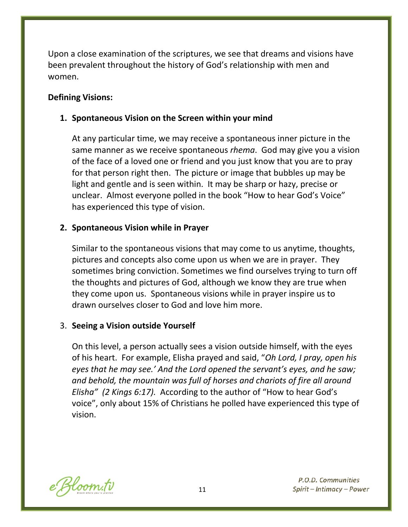Upon a close examination of the scriptures, we see that dreams and visions have been prevalent throughout the history of God's relationship with men and women.

#### **Defining Visions:**

#### **1. Spontaneous Vision on the Screen within your mind**

At any particular time, we may receive a spontaneous inner picture in the same manner as we receive spontaneous *rhema*. God may give you a vision of the face of a loved one or friend and you just know that you are to pray for that person right then. The picture or image that bubbles up may be light and gentle and is seen within. It may be sharp or hazy, precise or unclear. Almost everyone polled in the book "How to hear God's Voice" has experienced this type of vision.

#### **2. Spontaneous Vision while in Prayer**

Similar to the spontaneous visions that may come to us anytime, thoughts, pictures and concepts also come upon us when we are in prayer. They sometimes bring conviction. Sometimes we find ourselves trying to turn off the thoughts and pictures of God, although we know they are true when they come upon us. Spontaneous visions while in prayer inspire us to drawn ourselves closer to God and love him more.

#### 3. **Seeing a Vision outside Yourself**

On this level, a person actually sees a vision outside himself, with the eyes of his heart. For example, Elisha prayed and said, "*Oh Lord, I pray, open his eyes that he may see.' And the Lord opened the servant's eyes, and he saw; and behold, the mountain was full of horses and chariots of fire all around Elisha" (2 Kings 6:17).* According to the author of "How to hear God's voice", only about 15% of Christians he polled have experienced this type of vision.

e Bloom.tv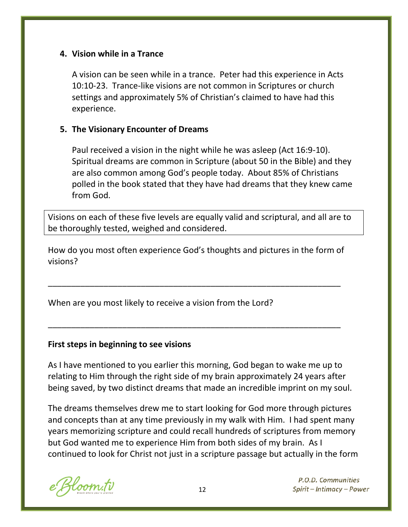#### **4. Vision while in a Trance**

A vision can be seen while in a trance. Peter had this experience in Acts 10:10-23. Trance-like visions are not common in Scriptures or church settings and approximately 5% of Christian's claimed to have had this experience.

#### **5. The Visionary Encounter of Dreams**

Paul received a vision in the night while he was asleep (Act 16:9-10). Spiritual dreams are common in Scripture (about 50 in the Bible) and they are also common among God's people today. About 85% of Christians polled in the book stated that they have had dreams that they knew came from God.

Visions on each of these five levels are equally valid and scriptural, and all are to be thoroughly tested, weighed and considered.

How do you most often experience God's thoughts and pictures in the form of visions?

\_\_\_\_\_\_\_\_\_\_\_\_\_\_\_\_\_\_\_\_\_\_\_\_\_\_\_\_\_\_\_\_\_\_\_\_\_\_\_\_\_\_\_\_\_\_\_\_\_\_\_\_\_\_\_\_\_\_\_\_\_\_\_

\_\_\_\_\_\_\_\_\_\_\_\_\_\_\_\_\_\_\_\_\_\_\_\_\_\_\_\_\_\_\_\_\_\_\_\_\_\_\_\_\_\_\_\_\_\_\_\_\_\_\_\_\_\_\_\_\_\_\_\_\_\_\_

When are you most likely to receive a vision from the Lord?

#### **First steps in beginning to see visions**

As I have mentioned to you earlier this morning, God began to wake me up to relating to Him through the right side of my brain approximately 24 years after being saved, by two distinct dreams that made an incredible imprint on my soul.

The dreams themselves drew me to start looking for God more through pictures and concepts than at any time previously in my walk with Him. I had spent many years memorizing scripture and could recall hundreds of scriptures from memory but God wanted me to experience Him from both sides of my brain. As I continued to look for Christ not just in a scripture passage but actually in the form

Hoom.tv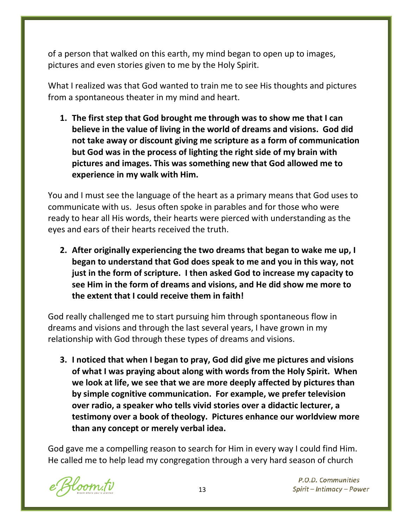of a person that walked on this earth, my mind began to open up to images, pictures and even stories given to me by the Holy Spirit.

What I realized was that God wanted to train me to see His thoughts and pictures from a spontaneous theater in my mind and heart.

**1. The first step that God brought me through was to show me that I can believe in the value of living in the world of dreams and visions. God did not take away or discount giving me scripture as a form of communication but God was in the process of lighting the right side of my brain with pictures and images. This was something new that God allowed me to experience in my walk with Him.**

You and I must see the language of the heart as a primary means that God uses to communicate with us. Jesus often spoke in parables and for those who were ready to hear all His words, their hearts were pierced with understanding as the eyes and ears of their hearts received the truth.

**2. After originally experiencing the two dreams that began to wake me up, I began to understand that God does speak to me and you in this way, not just in the form of scripture. I then asked God to increase my capacity to see Him in the form of dreams and visions, and He did show me more to the extent that I could receive them in faith!**

God really challenged me to start pursuing him through spontaneous flow in dreams and visions and through the last several years, I have grown in my relationship with God through these types of dreams and visions.

**3. I noticed that when I began to pray, God did give me pictures and visions of what I was praying about along with words from the Holy Spirit. When we look at life, we see that we are more deeply affected by pictures than by simple cognitive communication. For example, we prefer television over radio, a speaker who tells vivid stories over a didactic lecturer, a testimony over a book of theology. Pictures enhance our worldview more than any concept or merely verbal idea.**

God gave me a compelling reason to search for Him in every way I could find Him. He called me to help lead my congregation through a very hard season of church

Hoom.tv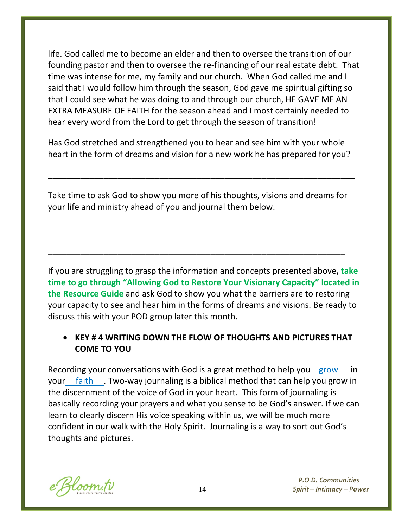life. God called me to become an elder and then to oversee the transition of our founding pastor and then to oversee the re-financing of our real estate debt. That time was intense for me, my family and our church. When God called me and I said that I would follow him through the season, God gave me spiritual gifting so that I could see what he was doing to and through our church, HE GAVE ME AN EXTRA MEASURE OF FAITH for the season ahead and I most certainly needed to hear every word from the Lord to get through the season of transition!

Has God stretched and strengthened you to hear and see him with your whole heart in the form of dreams and vision for a new work he has prepared for you?

\_\_\_\_\_\_\_\_\_\_\_\_\_\_\_\_\_\_\_\_\_\_\_\_\_\_\_\_\_\_\_\_\_\_\_\_\_\_\_\_\_\_\_\_\_\_\_\_\_\_\_\_\_\_\_\_\_\_\_\_\_\_\_\_\_\_

Take time to ask God to show you more of his thoughts, visions and dreams for your life and ministry ahead of you and journal them below.

\_\_\_\_\_\_\_\_\_\_\_\_\_\_\_\_\_\_\_\_\_\_\_\_\_\_\_\_\_\_\_\_\_\_\_\_\_\_\_\_\_\_\_\_\_\_\_\_\_\_\_\_\_\_\_\_\_\_\_\_\_\_\_\_\_\_\_ \_\_\_\_\_\_\_\_\_\_\_\_\_\_\_\_\_\_\_\_\_\_\_\_\_\_\_\_\_\_\_\_\_\_\_\_\_\_\_\_\_\_\_\_\_\_\_\_\_\_\_\_\_\_\_\_\_\_\_\_\_\_\_\_\_\_\_

\_\_\_\_\_\_\_\_\_\_\_\_\_\_\_\_\_\_\_\_\_\_\_\_\_\_\_\_\_\_\_\_\_\_\_\_\_\_\_\_\_\_\_\_\_\_\_\_\_\_\_\_\_\_\_\_\_\_\_\_\_\_\_\_

If you are struggling to grasp the information and concepts presented above**, take time to go through "Allowing God to Restore Your Visionary Capacity" located in the Resource Guide** and ask God to show you what the barriers are to restoring your capacity to see and hear him in the forms of dreams and visions. Be ready to discuss this with your POD group later this month.

# • **KEY # 4 WRITING DOWN THE FLOW OF THOUGHTS AND PICTURES THAT COME TO YOU**

Recording your conversations with God is a great method to help you grow in your faith . Two-way journaling is a biblical method that can help you grow in the discernment of the voice of God in your heart. This form of journaling is basically recording your prayers and what you sense to be God's answer. If we can learn to clearly discern His voice speaking within us, we will be much more confident in our walk with the Holy Spirit. Journaling is a way to sort out God's thoughts and pictures.

Hoom.tv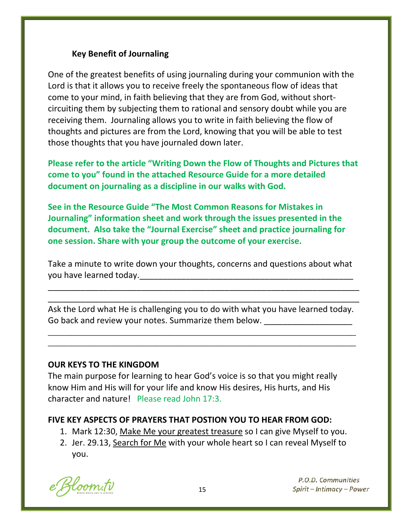#### **Key Benefit of Journaling**

One of the greatest benefits of using journaling during your communion with the Lord is that it allows you to receive freely the spontaneous flow of ideas that come to your mind, in faith believing that they are from God, without shortcircuiting them by subjecting them to rational and sensory doubt while you are receiving them. Journaling allows you to write in faith believing the flow of thoughts and pictures are from the Lord, knowing that you will be able to test those thoughts that you have journaled down later.

**Please refer to the article "Writing Down the Flow of Thoughts and Pictures that come to you" found in the attached Resource Guide for a more detailed document on journaling as a discipline in our walks with God.** 

**See in the Resource Guide "The Most Common Reasons for Mistakes in Journaling" information sheet and work through the issues presented in the document. Also take the "Journal Exercise" sheet and practice journaling for one session. Share with your group the outcome of your exercise.**

Take a minute to write down your thoughts, concerns and questions about what you have learned today.

\_\_\_\_\_\_\_\_\_\_\_\_\_\_\_\_\_\_\_\_\_\_\_\_\_\_\_\_\_\_\_\_\_\_\_\_\_\_\_\_\_\_\_\_\_\_\_\_\_\_\_\_\_\_\_\_\_\_\_\_\_\_\_\_\_\_\_ \_\_\_\_\_\_\_\_\_\_\_\_\_\_\_\_\_\_\_\_\_\_\_\_\_\_\_\_\_\_\_\_\_\_\_\_\_\_\_\_\_\_\_\_\_\_\_\_\_\_\_\_\_\_\_\_\_\_\_\_\_\_\_\_\_\_\_

Ask the Lord what He is challenging you to do with what you have learned today. Go back and review your notes. Summarize them below.

 $\overline{\phantom{a}}$  , and the contribution of the contribution of the contribution of the contribution of the contribution of the contribution of the contribution of the contribution of the contribution of the contribution of the \_\_\_\_\_\_\_\_\_\_\_\_\_\_\_\_\_\_\_\_\_\_\_\_\_\_\_\_\_\_\_\_\_\_\_\_\_\_\_\_\_\_\_\_\_\_\_\_\_\_\_\_\_\_\_\_\_\_\_\_\_\_\_\_\_\_

#### **OUR KEYS TO THE KINGDOM**

The main purpose for learning to hear God's voice is so that you might really know Him and His will for your life and know His desires, His hurts, and His character and nature! Please read John 17:3.

#### **FIVE KEY ASPECTS OF PRAYERS THAT POSTION YOU TO HEAR FROM GOD:**

- 1. Mark 12:30, Make Me your greatest treasure so I can give Myself to you.
- 2. Jer. 29.13, Search for Me with your whole heart so I can reveal Myself to you.

Hoom.tv